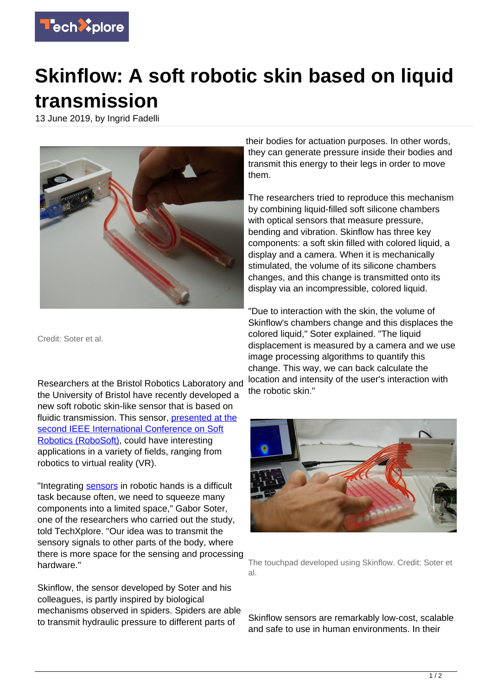

## **Skinflow: A soft robotic skin based on liquid transmission**

13 June 2019, by Ingrid Fadelli



Credit: Soter et al.

Researchers at the Bristol Robotics Laboratory and the University of Bristol have recently developed a new soft robotic skin-like sensor that is based on fluidic transmission. This sensor, [presented at the](https://ieeexplore.ieee.org/abstract/document/8722744) [second IEEE International Conference on Soft](https://ieeexplore.ieee.org/abstract/document/8722744) [Robotics \(RoboSoft\)](https://ieeexplore.ieee.org/abstract/document/8722744), could have interesting applications in a variety of fields, ranging from robotics to virtual reality (VR).

"Integrating [sensors](https://techxplore.com/tags/sensors/) in robotic hands is a difficult task because often, we need to squeeze many components into a limited space," Gabor Soter, one of the researchers who carried out the study, told TechXplore. "Our idea was to transmit the sensory signals to other parts of the body, where there is more space for the sensing and processing hardware."

Skinflow, the sensor developed by Soter and his colleagues, is partly inspired by biological mechanisms observed in spiders. Spiders are able to transmit hydraulic pressure to different parts of

their bodies for actuation purposes. In other words, they can generate pressure inside their bodies and transmit this energy to their legs in order to move them.

The researchers tried to reproduce this mechanism by combining liquid-filled soft silicone chambers with optical sensors that measure pressure, bending and vibration. Skinflow has three key components: a soft skin filled with colored liquid, a display and a camera. When it is mechanically stimulated, the volume of its silicone chambers changes, and this change is transmitted onto its display via an incompressible, colored liquid.

"Due to interaction with the skin, the volume of Skinflow's chambers change and this displaces the colored liquid," Soter explained. "The liquid displacement is measured by a camera and we use image processing algorithms to quantify this change. This way, we can back calculate the location and intensity of the user's interaction with the robotic skin."



The touchpad developed using Skinflow. Credit: Soter et al.

Skinflow sensors are remarkably low-cost, scalable and safe to use in human environments. In their